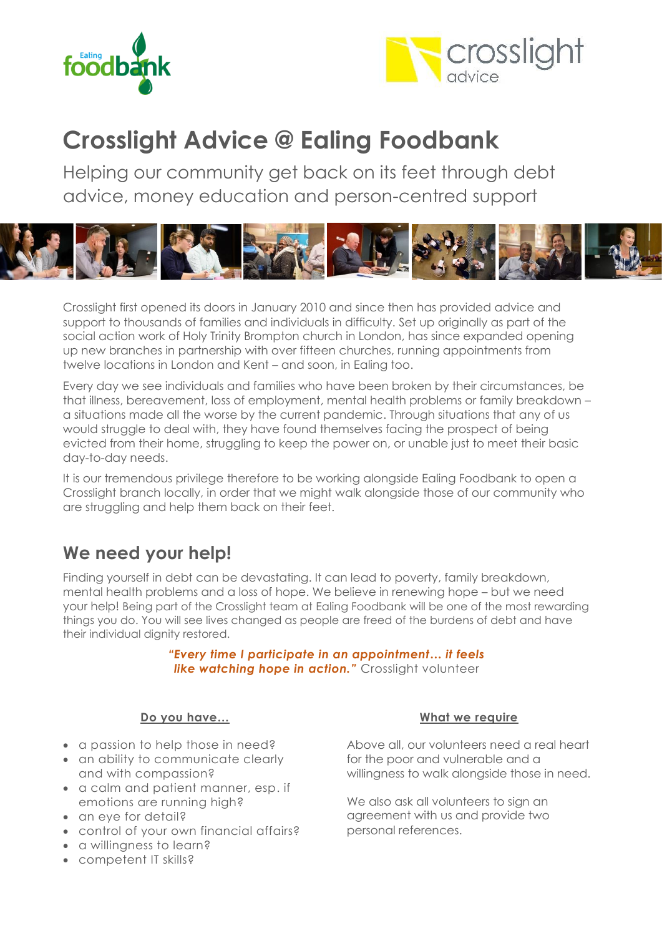



# **Crosslight Advice @ Ealing Foodbank**

Helping our community get back on its feet through debt advice, money education and person-centred support



Crosslight first opened its doors in January 2010 and since then has provided advice and support to thousands of families and individuals in difficulty. Set up originally as part of the social action work of Holy Trinity Brompton church in London, has since expanded opening up new branches in partnership with over fifteen churches, running appointments from twelve locations in London and Kent – and soon, in Ealing too.

Every day we see individuals and families who have been broken by their circumstances, be that illness, bereavement, loss of employment, mental health problems or family breakdown – a situations made all the worse by the current pandemic. Through situations that any of us would struggle to deal with, they have found themselves facing the prospect of being evicted from their home, struggling to keep the power on, or unable just to meet their basic day-to-day needs.

It is our tremendous privilege therefore to be working alongside Ealing Foodbank to open a Crosslight branch locally, in order that we might walk alongside those of our community who are struggling and help them back on their feet.

### **We need your help!**

Finding yourself in debt can be devastating. It can lead to poverty, family breakdown, mental health problems and a loss of hope. We believe in renewing hope – but we need your help! Being part of the Crosslight team at Ealing Foodbank will be one of the most rewarding things you do. You will see lives changed as people are freed of the burdens of debt and have their individual dignity restored.

> *"Every time I participate in an appointment… it feels* **like watching hope in action.**" Crosslight volunteer

#### **Do you have…**

- a passion to help those in need?
- an ability to communicate clearly and with compassion?
- a calm and patient manner, esp. if emotions are running high?
- an eye for detail?
- control of your own financial affairs?
- a willingness to learn?
- competent IT skills?

#### **What we require**

Above all, our volunteers need a real heart for the poor and vulnerable and a willingness to walk alongside those in need.

We also ask all volunteers to sign an agreement with us and provide two personal references.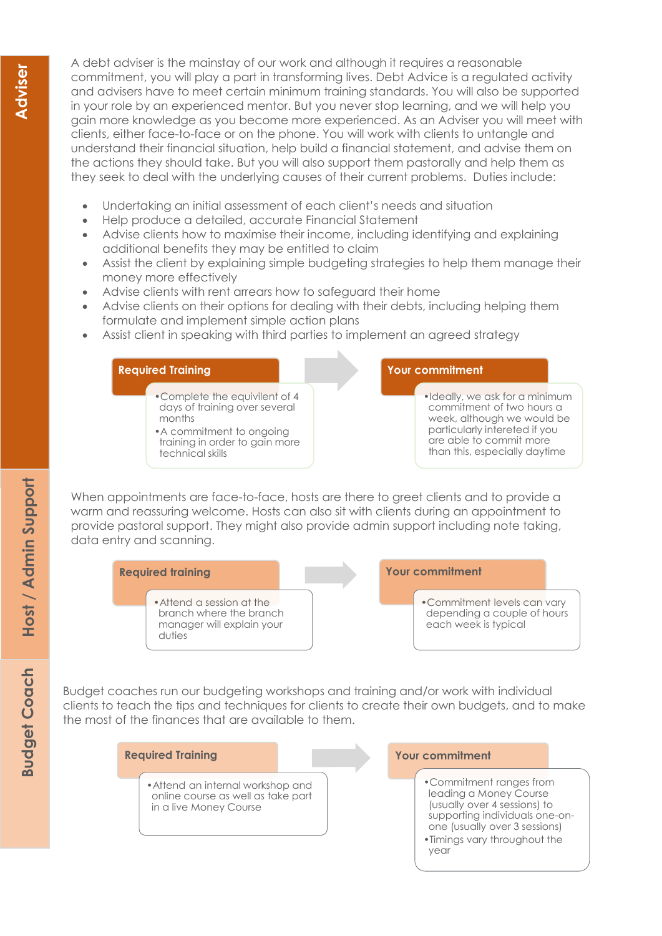A debt adviser is the mainstay of our work and although it requires a reasonable commitment, you will play a part in transforming lives. Debt Advice is a regulated activity and advisers have to meet certain minimum training standards. You will also be supported in your role by an experienced mentor. But you never stop learning, and we will help you gain more knowledge as you become more experienced. As an Adviser you will meet with clients, either face-to-face or on the phone. You will work with clients to untangle and understand their financial situation, help build a financial statement, and advise them on the actions they should take. But you will also support them pastorally and help them as they seek to deal with the underlying causes of their current problems. Duties include:

- Undertaking an initial assessment of each client's needs and situation
- Help produce a detailed, accurate Financial Statement
- Advise clients how to maximise their income, including identifying and explaining additional benefits they may be entitled to claim
- Assist the client by explaining simple budgeting strategies to help them manage their money more effectively
- Advise clients with rent arrears how to safeguard their home
- Advise clients on their options for dealing with their debts, including helping them formulate and implement simple action plans
- Assist client in speaking with third parties to implement an agreed strategy

#### **Required Training**

- •Complete the equivilent of 4 days of training over several months
- •A commitment to ongoing training in order to gain more technical skills

#### **Your commitment**

•Ideally, we ask for a minimum commitment of two hours a week, although we would be particularly intereted if you are able to commit more than this, especially daytime

When appointments are face-to-face, hosts are there to greet clients and to provide a warm and reassuring welcome. Hosts can also sit with clients during an appointment to provide pastoral support. They might also provide admin support including note taking, data entry and scanning.



Budget coaches run our budgeting workshops and training and/or work with individual clients to teach the tips and techniques for clients to create their own budgets, and to make the most of the finances that are available to them.

#### **Required Training**

•Attend an internal workshop and online course as well as take part in a live Money Course

#### **Your commitment**

- •Commitment ranges from leading a Money Course (usually over 4 sessions) to supporting individuals one-onone (usually over 3 sessions)
- •Timings vary throughout the year